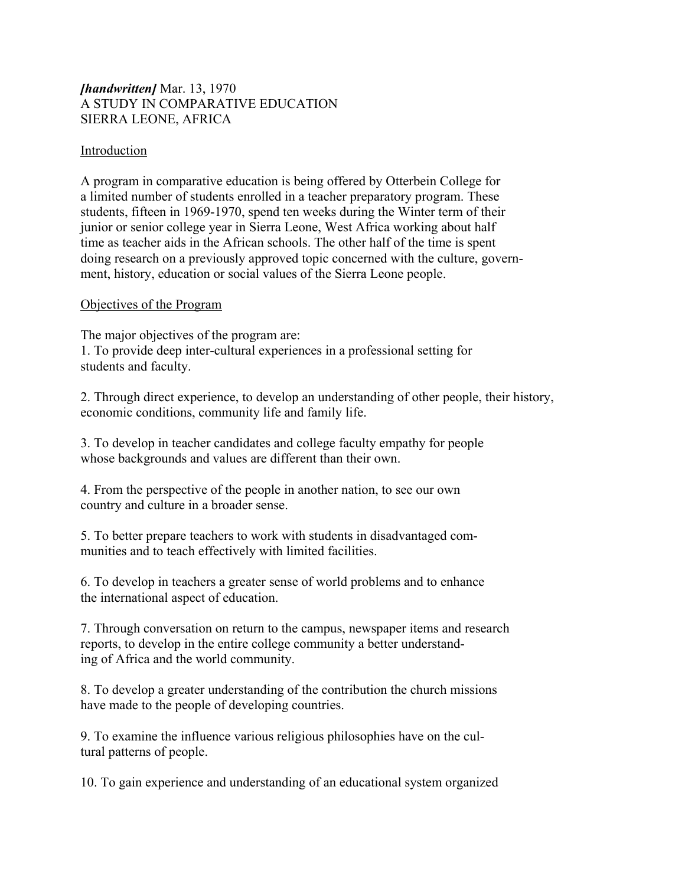# *[handwritten]* Mar. 13, 1970 A STUDY IN COMPARATIVE EDUCATION SIERRA LEONE, AFRICA

## Introduction

A program in comparative education is being offered by Otterbein College for a limited number of students enrolled in a teacher preparatory program. These students, fifteen in 1969-1970, spend ten weeks during the Winter term of their junior or senior college year in Sierra Leone, West Africa working about half time as teacher aids in the African schools. The other half of the time is spent doing research on a previously approved topic concerned with the culture, government, history, education or social values of the Sierra Leone people.

## Objectives of the Program

The major objectives of the program are: 1. To provide deep inter-cultural experiences in a professional setting for students and faculty.

2. Through direct experience, to develop an understanding of other people, their history, economic conditions, community life and family life.

3. To develop in teacher candidates and college faculty empathy for people whose backgrounds and values are different than their own.

4. From the perspective of the people in another nation, to see our own country and culture in a broader sense.

5. To better prepare teachers to work with students in disadvantaged communities and to teach effectively with limited facilities.

6. To develop in teachers a greater sense of world problems and to enhance the international aspect of education.

7. Through conversation on return to the campus, newspaper items and research reports, to develop in the entire college community a better understanding of Africa and the world community.

8. To develop a greater understanding of the contribution the church missions have made to the people of developing countries.

9. To examine the influence various religious philosophies have on the cultural patterns of people.

10. To gain experience and understanding of an educational system organized